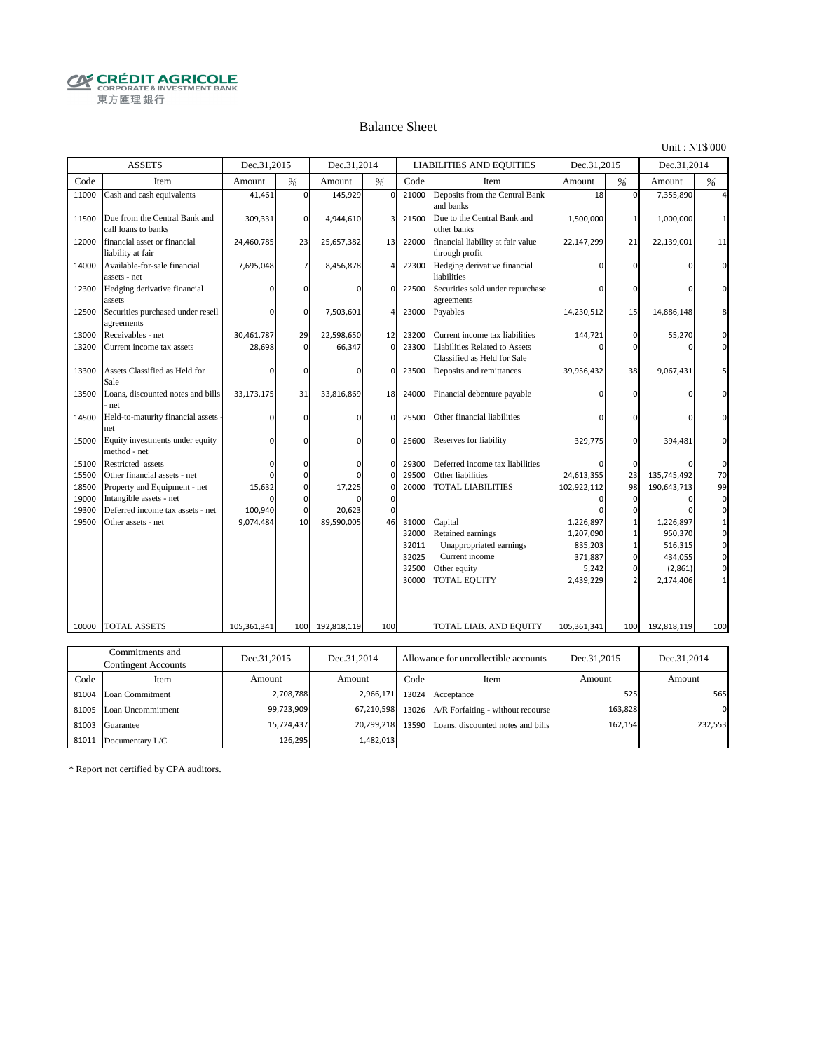**CRÉDIT AGRICOLE** 東方匯理銀行

#### Balance Sheet

Unit : NT\$'000

|       | <b>ASSETS</b>                                        | Dec.31,2015                  |                | Dec.31,2014                  |                |       | <b>LIABILITIES AND EQUITIES</b>                              | Dec.31,2015                  |               | Dec.31,2014                  |          |
|-------|------------------------------------------------------|------------------------------|----------------|------------------------------|----------------|-------|--------------------------------------------------------------|------------------------------|---------------|------------------------------|----------|
| Code  | Item                                                 | Amount                       | $\frac{0}{6}$  | Amount                       | %              | Code  | Item                                                         | Amount                       | $\frac{0}{6}$ | Amount                       | %        |
| 11000 | Cash and cash equivalents                            | 41,461                       | $\mathbf 0$    | 145,929                      | $\mathbf 0$    | 21000 | Deposits from the Central Bank<br>and banks                  | 18                           | $\mathbf 0$   | 7,355,890                    |          |
| 11500 | Due from the Central Bank and<br>call loans to banks | 309,331                      | $\mathbf 0$    | 4,944,610                    | 3              | 21500 | Due to the Central Bank and<br>other banks                   | 1,500,000                    |               | 1,000,000                    |          |
| 12000 | financial asset or financial<br>liability at fair    | 24,460,785                   | 23             | 25,657,382                   | 13             | 22000 | financial liability at fair value<br>through profit          | 22,147,299                   | 21            | 22,139,001                   | 11       |
| 14000 | Available-for-sale financial<br>assets - net         | 7,695,048                    | $\overline{7}$ | 8,456,878                    | $\overline{4}$ | 22300 | Hedging derivative financial<br>liabilities                  |                              | $\Omega$      |                              | $\Omega$ |
| 12300 | Hedging derivative financial<br>assets               |                              | $\Omega$       |                              | $\Omega$       | 22500 | Securities sold under repurchase<br>agreements               |                              |               |                              |          |
| 12500 | Securities purchased under resell<br>agreements      | $\Omega$                     | $\mathbf 0$    | 7,503,601                    | $\overline{4}$ | 23000 | Payables                                                     | 14,230,512                   | 15            | 14,886,148                   |          |
| 13000 | Receivables - net                                    | 30,461,787                   | 29             | 22,598,650                   | 12             | 23200 | Current income tax liabilities                               | 144,721                      | 0             | 55,270                       | $\Omega$ |
| 13200 | Current income tax assets                            | 28,698                       | $\Omega$       | 66,347                       | $\Omega$       | 23300 | Liabilities Related to Assets<br>Classified as Held for Sale |                              | $\Omega$      |                              |          |
| 13300 | Assets Classified as Held for<br>Sale                | n                            | $\Omega$       | <sup>0</sup>                 | $\Omega$       | 23500 | Deposits and remittances                                     | 39,956,432                   | 38            | 9,067,431                    |          |
| 13500 | Loans, discounted notes and bills<br>net             | 33,173,175                   | 31             | 33,816,869                   | 18             | 24000 | Financial debenture payable                                  |                              |               |                              |          |
| 14500 | Held-to-maturity financial assets<br>net             | $\Omega$                     | $\Omega$       | $\Omega$                     | $\Omega$       | 25500 | Other financial liabilities                                  |                              |               |                              |          |
| 15000 | Equity investments under equity<br>method - net      | $\Omega$                     | 0              | $\Omega$                     | $\mathbf 0$    | 25600 | Reserves for liability                                       | 329,775                      | $\Omega$      | 394,481                      |          |
| 15100 | Restricted assets                                    | 0                            | 0              | $\Omega$                     | $\mathbf 0$    | 29300 | Deferred income tax liabilities                              |                              | 0             |                              | $\Omega$ |
| 15500 | Other financial assets - net                         | $\Omega$                     | $\Omega$       | <sup>0</sup>                 | $\mathbf 0$    | 29500 | Other liabilities                                            | 24,613,355                   | 23            | 135,745,492                  | 70       |
| 18500 | Property and Equipment - net                         | 15,632                       | 0              | 17,225                       | $\Omega$       | 20000 | <b>TOTAL LIABILITIES</b>                                     | 102,922,112                  | 98            | 190,643,713                  | 99       |
| 19000 | Intangible assets - net                              |                              | $\Omega$       |                              | $\mathbf 0$    |       |                                                              | O                            | $\Omega$      | $\Omega$                     | $\Omega$ |
| 19300 | Deferred income tax assets - net                     | 100,940                      | $\mathbf 0$    | 20,623                       | $\Omega$       |       |                                                              |                              | ŋ             |                              | $\Omega$ |
| 19500 | Other assets - net                                   | 9,074,484                    | 10             | 89,590,005                   | 46             | 31000 | Capital                                                      | 1,226,897                    |               | 1,226,897                    |          |
|       |                                                      |                              |                |                              |                | 32000 | Retained earnings                                            | 1,207,090                    |               | 950,370                      | 0        |
|       |                                                      |                              |                |                              |                | 32011 | Unappropriated earnings                                      | 835,203                      |               | 516,315                      | 0        |
|       |                                                      |                              |                |                              |                | 32025 | Current income                                               | 371,887                      | $\Omega$      | 434,055                      | $\Omega$ |
|       |                                                      |                              |                |                              |                | 32500 | Other equity                                                 | 5,242                        |               | (2,861)                      | $\Omega$ |
|       |                                                      |                              |                |                              |                | 30000 | <b>TOTAL EQUITY</b>                                          | 2,439,229                    |               | 2,174,406                    |          |
|       |                                                      |                              |                |                              |                |       |                                                              |                              |               |                              |          |
|       |                                                      |                              |                |                              |                |       |                                                              |                              |               |                              | 100      |
|       |                                                      |                              |                |                              |                |       |                                                              |                              |               |                              |          |
| 10000 | <b>TOTAL ASSETS</b><br>Commitments and               | 105,361,341<br>$D = 21.2015$ | 100            | 192,818,119<br>$D = 21.2014$ | 100            |       | TOTAL LIAB. AND EQUITY                                       | 105,361,341<br>$D = 21.2015$ | 100           | 192,818,119<br>$D = 21.2014$ |          |

| Commitments and<br>Contingent Accounts |                         | Dec.31,2015<br>Allowance for uncollectible accounts<br>Dec.31.2014 |                  | Dec.31.2015 | Dec.31,2014                                        |         |          |
|----------------------------------------|-------------------------|--------------------------------------------------------------------|------------------|-------------|----------------------------------------------------|---------|----------|
| Code                                   | Item                    | Amount                                                             | Amount           | Code        | Item                                               | Amount  | Amount   |
|                                        | 81004 Loan Commitment   | 2,708,788                                                          |                  |             | 2,966,171 13024 Acceptance                         | 525     | 565      |
|                                        | 81005 Loan Uncommitment | 99,723,909                                                         |                  |             | 67,210,598 13026 A/R Forfaiting - without recourse | 163,828 | $\Omega$ |
|                                        | 81003 Guarantee         | 15,724,437                                                         | 20,299,218 13590 |             | Loans, discounted notes and bills                  | 162,154 | 232,553  |
| 81011                                  | Documentary L/C         | 126.295                                                            | 1,482,013        |             |                                                    |         |          |

\* Report not certified by CPA auditors.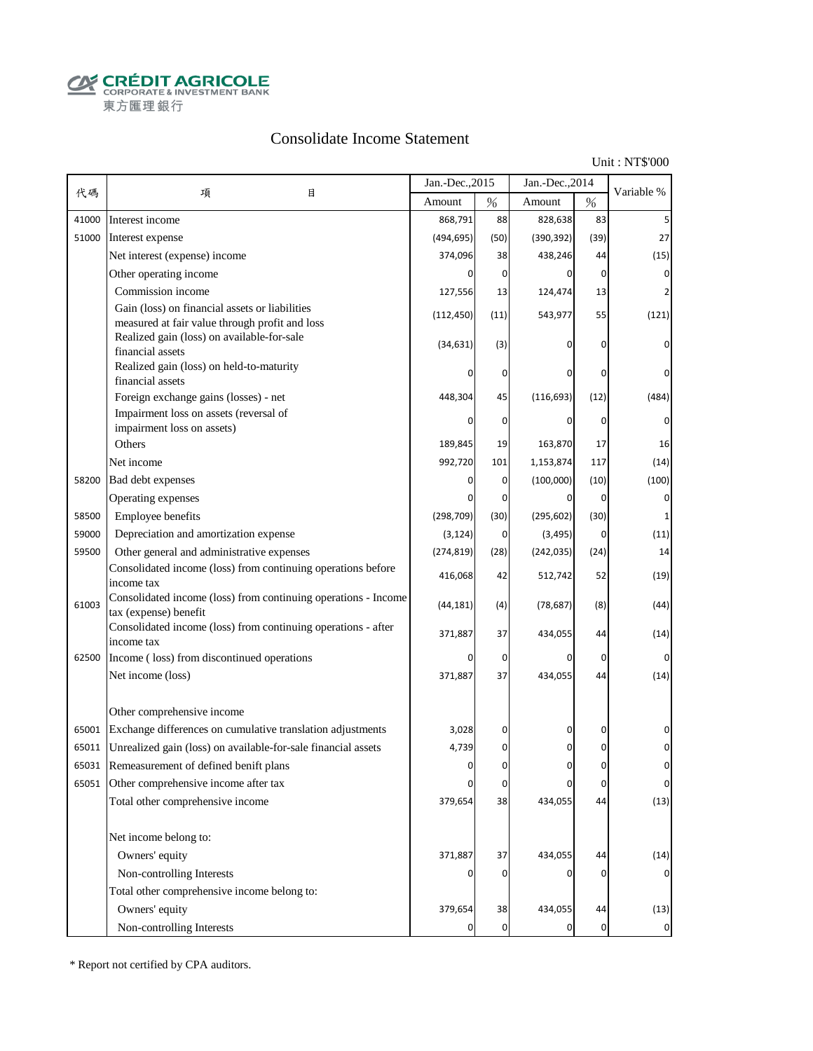**CALCOUT AGRICOLE**<br>
CORPORATE & INVESTMENT BANK<br>
東方匯理銀行

### Consolidate Income Statement

Unit : NT\$'000

|       |                                                                                                  | Jan.-Dec., 2015 |             | Jan.-Dec., 2014 |                |             |
|-------|--------------------------------------------------------------------------------------------------|-----------------|-------------|-----------------|----------------|-------------|
| 代碼    | 項<br>目                                                                                           | Amount          | $\%$        | Amount          | $\%$           | Variable %  |
| 41000 | Interest income                                                                                  | 868,791         | 88          | 828,638         | 83             |             |
| 51000 | Interest expense                                                                                 | (494, 695)      | (50)        | (390, 392)      | (39)           | 27          |
|       | Net interest (expense) income                                                                    | 374,096         | 38          | 438,246         | 44             | (15)        |
|       | Other operating income                                                                           | 0               | 0           | 0               | $\overline{0}$ | 0           |
|       | Commission income                                                                                | 127,556         | 13          | 124,474         | 13             |             |
|       | Gain (loss) on financial assets or liabilities<br>measured at fair value through profit and loss | (112, 450)      | (11)        | 543,977         | 55             | (121)       |
|       | Realized gain (loss) on available-for-sale<br>financial assets                                   | (34, 631)       | (3)         | 0               | 0              | 0           |
|       | Realized gain (loss) on held-to-maturity<br>financial assets                                     |                 | 0           |                 | 0              |             |
|       | Foreign exchange gains (losses) - net                                                            | 448,304         | 45          | (116, 693)      | (12)           | (484)       |
|       | Impairment loss on assets (reversal of                                                           |                 |             |                 |                |             |
|       | impairment loss on assets)                                                                       |                 | 0           | 0               | 0              |             |
|       | Others                                                                                           | 189,845         | 19          | 163,870         | 17             | 16          |
|       | Net income                                                                                       | 992,720         | 101         | 1,153,874       | 117            | (14)        |
| 58200 | Bad debt expenses                                                                                | 0               | 0           | (100,000)       | (10)           | (100)       |
|       | Operating expenses                                                                               | 0               | 0           | 0               | $\overline{0}$ | 0           |
| 58500 | Employee benefits                                                                                | (298, 709)      | (30)        | (295, 602)      | (30)           | 1           |
| 59000 | Depreciation and amortization expense                                                            | (3, 124)        | 0           | (3, 495)        | $\overline{0}$ | (11)        |
| 59500 | Other general and administrative expenses                                                        | (274, 819)      | (28)        | (242, 035)      | (24)           | 14          |
|       | Consolidated income (loss) from continuing operations before<br>income tax                       | 416,068         | 42          | 512,742         | 52             | (19)        |
| 61003 | Consolidated income (loss) from continuing operations - Income<br>tax (expense) benefit          | (44, 181)       | (4)         | (78, 687)       | (8)            | (44)        |
|       | Consolidated income (loss) from continuing operations - after<br>income tax                      | 371,887         | 37          | 434,055         | 44             | (14)        |
| 62500 | Income (loss) from discontinued operations                                                       | 0               | $\mathbf 0$ | 0               | $\mathbf 0$    | 0           |
|       | Net income (loss)                                                                                | 371,887         | 37          | 434,055         | 44             | (14)        |
|       | Other comprehensive income                                                                       |                 |             |                 |                |             |
| 65001 | Exchange differences on cumulative translation adjustments                                       | 3,028           | 0           | 0               | 0              | 0           |
| 65011 | Unrealized gain (loss) on available-for-sale financial assets                                    | 4,739           | 0           | 0               | 0              |             |
| 65031 | Remeasurement of defined benift plans                                                            |                 | $\Omega$    |                 | O              |             |
|       | 65051 Other comprehensive income after tax                                                       | 0               | $\pmb{0}$   | 0               | 0              | $\pmb{0}$   |
|       | Total other comprehensive income                                                                 | 379,654         | 38          | 434,055         | 44             | (13)        |
|       | Net income belong to:                                                                            |                 |             |                 |                |             |
|       | Owners' equity                                                                                   | 371,887         | 37          | 434,055         | 44             | (14)        |
|       | Non-controlling Interests                                                                        |                 | 0           | 0               | 0              |             |
|       | Total other comprehensive income belong to:                                                      |                 |             |                 |                |             |
|       | Owners' equity                                                                                   | 379,654         | 38          | 434,055         | 44             | (13)        |
|       | Non-controlling Interests                                                                        |                 | $\mathbf 0$ | 0               | $\overline{0}$ | $\mathbf 0$ |

\* Report not certified by CPA auditors.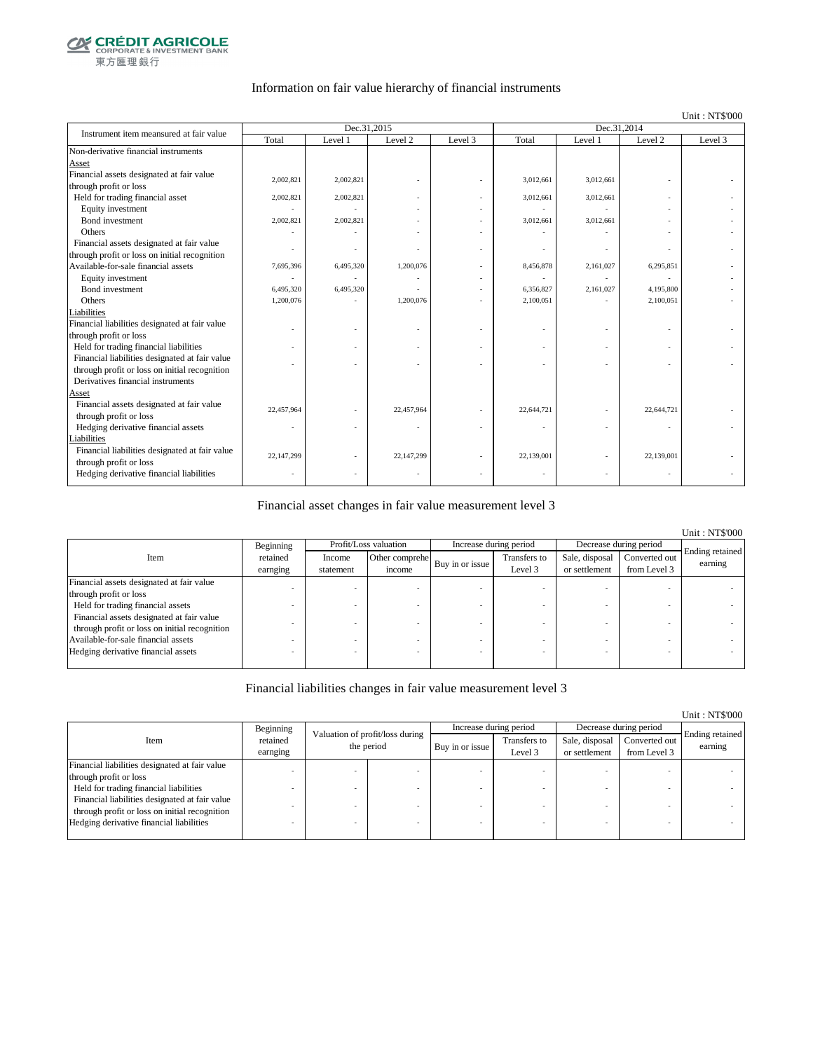

### Information on fair value hierarchy of financial instruments

#### Unit : NT\$'000

Unit : NT\$'000

| Instrument item meansured at fair value        |            | Dec.31,2015 |                    |         | Dec.31,2014 |           |                    |         |  |
|------------------------------------------------|------------|-------------|--------------------|---------|-------------|-----------|--------------------|---------|--|
|                                                | Total      | Level 1     | Level <sub>2</sub> | Level 3 | Total       | Level 1   | Level <sub>2</sub> | Level 3 |  |
| Non-derivative financial instruments           |            |             |                    |         |             |           |                    |         |  |
| Asset                                          |            |             |                    |         |             |           |                    |         |  |
| Financial assets designated at fair value      | 2,002,821  | 2,002,821   |                    |         | 3,012,661   | 3,012,661 |                    |         |  |
| through profit or loss                         |            |             |                    |         |             |           |                    |         |  |
| Held for trading financial asset               | 2,002,821  | 2,002,821   |                    |         | 3,012,661   | 3,012,661 |                    |         |  |
| Equity investment                              |            |             |                    |         |             |           |                    |         |  |
| Bond investment                                | 2,002,821  | 2,002,821   |                    |         | 3,012,661   | 3,012,661 |                    |         |  |
| Others                                         |            |             |                    |         |             |           |                    |         |  |
| Financial assets designated at fair value      |            |             |                    |         |             |           |                    |         |  |
| through profit or loss on initial recognition  |            |             |                    |         |             |           |                    |         |  |
| Available-for-sale financial assets            | 7,695,396  | 6,495,320   | 1,200,076          |         | 8,456,878   | 2,161,027 | 6,295,851          |         |  |
| Equity investment                              |            |             |                    |         |             |           |                    |         |  |
| Bond investment                                | 6,495,320  | 6,495,320   |                    |         | 6.356.827   | 2,161,027 | 4,195,800          |         |  |
| Others                                         | 1,200,076  |             | 1,200,076          |         | 2,100,051   |           | 2,100,051          |         |  |
| Liabilities                                    |            |             |                    |         |             |           |                    |         |  |
| Financial liabilities designated at fair value |            |             |                    |         |             |           |                    |         |  |
| through profit or loss                         |            |             |                    |         |             |           |                    |         |  |
| Held for trading financial liabilities         |            |             |                    |         |             |           |                    |         |  |
| Financial liabilities designated at fair value |            |             |                    |         |             |           |                    |         |  |
| through profit or loss on initial recognition  |            |             |                    |         |             |           |                    |         |  |
| Derivatives financial instruments              |            |             |                    |         |             |           |                    |         |  |
| Asset                                          |            |             |                    |         |             |           |                    |         |  |
| Financial assets designated at fair value      | 22,457,964 |             | 22,457,964         |         | 22,644,721  |           | 22,644,721         |         |  |
| through profit or loss                         |            |             |                    |         |             |           |                    |         |  |
| Hedging derivative financial assets            | ٠          |             |                    |         |             |           | ٠                  |         |  |
| Liabilities                                    |            |             |                    |         |             |           |                    |         |  |
| Financial liabilities designated at fair value | 22,147,299 |             | 22,147,299         |         | 22,139,001  |           | 22,139,001         |         |  |
| through profit or loss                         |            |             |                    |         |             |           |                    |         |  |
| Hedging derivative financial liabilities       |            |             |                    |         |             |           |                    |         |  |

### Financial asset changes in fair value measurement level 3

|                                               |           |           |                       |                        |              |                        |               | <b>Unit: NT\$'000</b>      |
|-----------------------------------------------|-----------|-----------|-----------------------|------------------------|--------------|------------------------|---------------|----------------------------|
|                                               | Beginning |           | Profit/Loss valuation | Increase during period |              | Decrease during period |               |                            |
| Item                                          | retained  | Income    | Other comprehe        | Buy in or issue        | Transfers to | Sale, disposal         | Converted out | Ending retained<br>earning |
|                                               | earnging  | statement | income                |                        | Level 3      | or settlement          | from Level 3  |                            |
| Financial assets designated at fair value     |           |           |                       |                        |              |                        |               |                            |
| through profit or loss                        |           |           |                       |                        |              |                        |               |                            |
| Held for trading financial assets             |           |           |                       |                        |              |                        |               |                            |
| Financial assets designated at fair value     |           |           |                       |                        |              |                        |               |                            |
| through profit or loss on initial recognition |           |           |                       |                        |              |                        |               |                            |
| Available-for-sale financial assets           |           |           |                       |                        |              |                        |               |                            |
| Hedging derivative financial assets           |           |           |                       |                        |              |                        |               |                            |
|                                               |           |           |                       |                        |              |                        |               |                            |

### Financial liabilities changes in fair value measurement level 3

|                                                |                      |                                               |                 |                         |                                 |                               | <u>UMIL.ITTU UUU</u>       |
|------------------------------------------------|----------------------|-----------------------------------------------|-----------------|-------------------------|---------------------------------|-------------------------------|----------------------------|
|                                                | Beginning            |                                               |                 | Increase during period  |                                 | Decrease during period        |                            |
| Item                                           | retained<br>earnging | Valuation of profit/loss during<br>the period | Buy in or issue | Transfers to<br>Level 3 | Sale, disposal<br>or settlement | Converted out<br>from Level 3 | Ending retained<br>earning |
| Financial liabilities designated at fair value |                      |                                               |                 |                         |                                 |                               |                            |
| through profit or loss                         |                      |                                               |                 |                         |                                 |                               |                            |
| Held for trading financial liabilities         |                      |                                               |                 |                         |                                 |                               |                            |
| Financial liabilities designated at fair value |                      |                                               |                 |                         |                                 |                               |                            |
| through profit or loss on initial recognition  |                      |                                               |                 |                         |                                 |                               |                            |
| Hedging derivative financial liabilities       |                      |                                               |                 |                         |                                 |                               |                            |
|                                                |                      |                                               |                 |                         |                                 |                               |                            |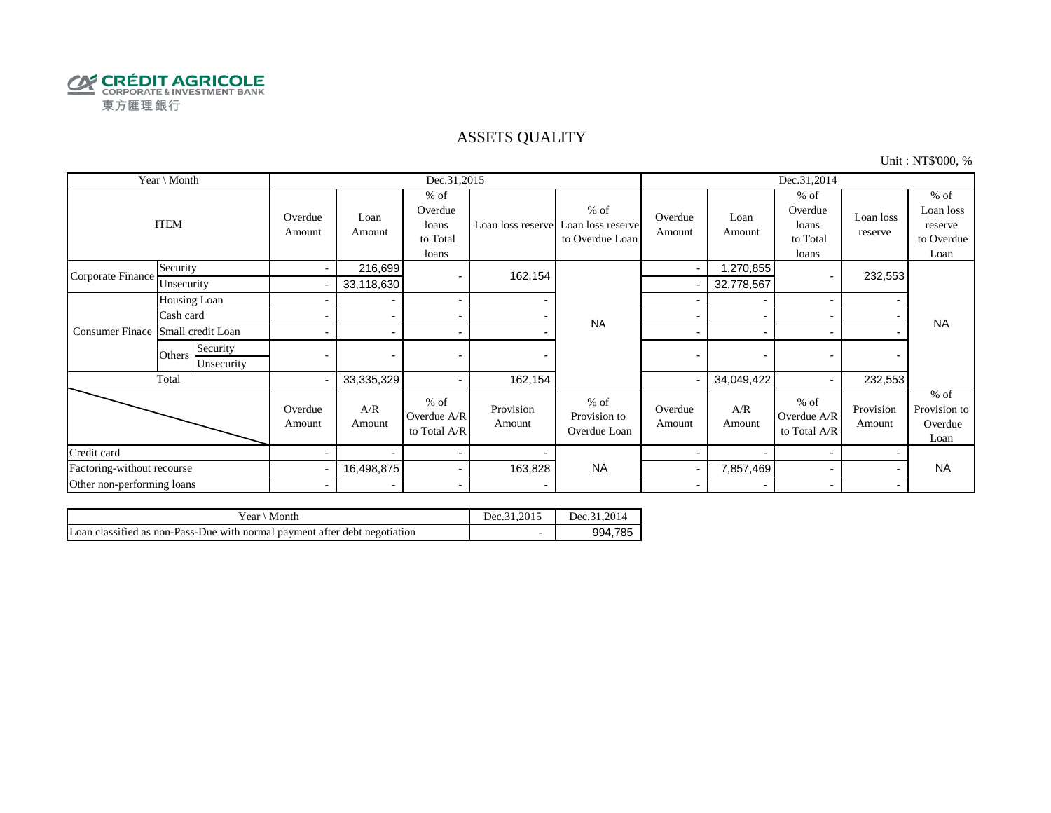

### ASSETS QUALITY

Unit : NT\$'000, %

| Year \ Month               |                                  |                   |                          | Dec.31,2015                                     |                     |                                                                  | Dec.31,2014              |                          |                                                 |                      |                                                      |
|----------------------------|----------------------------------|-------------------|--------------------------|-------------------------------------------------|---------------------|------------------------------------------------------------------|--------------------------|--------------------------|-------------------------------------------------|----------------------|------------------------------------------------------|
|                            | <b>ITEM</b>                      | Overdue<br>Amount | Loan<br>Amount           | $%$ of<br>Overdue<br>loans<br>to Total<br>loans |                     | $%$ of<br>Loan loss reserve Loan loss reserve<br>to Overdue Loan | Overdue<br>Amount        | Loan<br>Amount           | $%$ of<br>Overdue<br>loans<br>to Total<br>loans | Loan loss<br>reserve | $%$ of<br>Loan loss<br>reserve<br>to Overdue<br>Loan |
| Corporate Finance          | Security                         | $\sim$            | 216,699                  |                                                 | 162,154             |                                                                  | $\blacksquare$           | ,270,855                 |                                                 | 232,553              |                                                      |
|                            | Unsecurity                       |                   | 33,118,630               |                                                 |                     |                                                                  |                          | 32,778,567               |                                                 |                      |                                                      |
|                            | Housing Loan                     |                   |                          | $\sim$                                          |                     |                                                                  |                          | $\overline{\phantom{a}}$ |                                                 |                      |                                                      |
|                            | Cash card                        |                   |                          | $\sim$                                          |                     | <b>NA</b>                                                        |                          |                          |                                                 |                      | <b>NA</b>                                            |
| <b>Consumer Finace</b>     | Small credit Loan                |                   |                          | $\overline{\phantom{a}}$                        |                     |                                                                  | -                        | $\overline{\phantom{0}}$ |                                                 |                      |                                                      |
|                            | Security<br>Others<br>Unsecurity | $\blacksquare$    |                          |                                                 |                     |                                                                  | $\blacksquare$           | $\overline{\phantom{0}}$ |                                                 |                      |                                                      |
|                            | Total                            |                   | 33,335,329               | $\sim$                                          | 162,154             |                                                                  |                          | 34,049,422               |                                                 | 232,553              |                                                      |
|                            |                                  | Overdue<br>Amount | A/R<br>Amount            | $%$ of<br>Overdue A/R<br>to Total A/R           | Provision<br>Amount | $%$ of<br>Provision to<br>Overdue Loan                           | Overdue<br>Amount        | A/R<br>Amount            | $%$ of<br>Overdue A/R<br>to Total A/R           | Provision<br>Amount  | $%$ of<br>Provision to<br>Overdue<br>Loan            |
| Credit card                |                                  |                   |                          | $\sim$                                          |                     |                                                                  |                          |                          |                                                 |                      |                                                      |
| Factoring-without recourse |                                  |                   | 16,498,875               | $\sim$                                          | 163,828             | <b>NA</b>                                                        |                          | 7,857,469                |                                                 |                      | <b>NA</b>                                            |
| Other non-performing loans |                                  | $\blacksquare$    | $\overline{\phantom{0}}$ | $\blacksquare$                                  |                     |                                                                  | $\overline{\phantom{a}}$ | $\overline{\phantom{0}}$ | $\overline{\phantom{0}}$                        |                      |                                                      |

| Month<br>Year∖                                                             | Dec.31.2015 | 0.2014<br>Dec.31. |
|----------------------------------------------------------------------------|-------------|-------------------|
| Loan classified as non-Pass-Due with normal payment after debt negotiation | -           | 994.785           |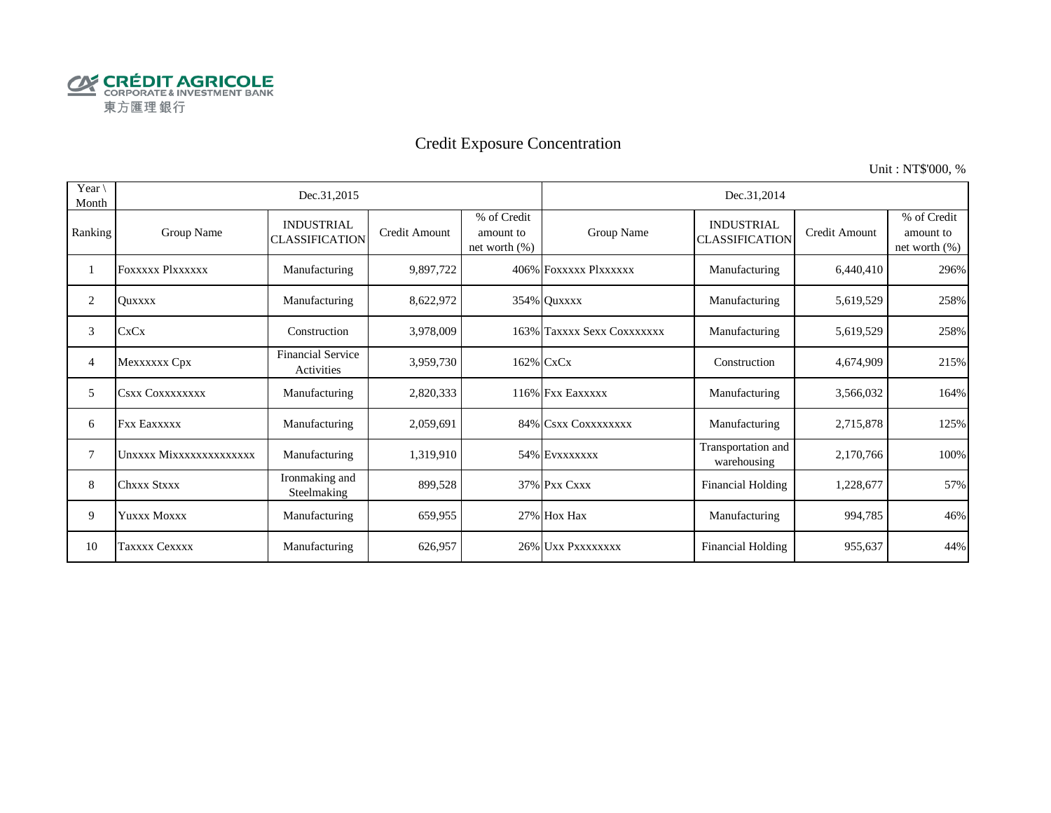

# Credit Exposure Concentration

Unit : NT\$'000, %

| Year $\setminus$<br>Month |                         | Dec.31,2015                                |               |                                              | Dec.31,2014                |                                            |               |                                              |  |  |
|---------------------------|-------------------------|--------------------------------------------|---------------|----------------------------------------------|----------------------------|--------------------------------------------|---------------|----------------------------------------------|--|--|
| Ranking                   | Group Name              | <b>INDUSTRIAL</b><br><b>CLASSIFICATION</b> | Credit Amount | % of Credit<br>amount to<br>net worth $(\%)$ | Group Name                 | <b>INDUSTRIAL</b><br><b>CLASSIFICATION</b> | Credit Amount | % of Credit<br>amount to<br>net worth $(\%)$ |  |  |
|                           | <b>FOXXXXX PIXXXXXX</b> | Manufacturing                              | 9,897,722     |                                              | 406% FOXXXXX PlXXXXXX      | Manufacturing                              | 6,440,410     | 296%                                         |  |  |
| 2                         | <b>Ouxxxx</b>           | Manufacturing                              | 8,622,972     |                                              | 354% Quxxxx                | Manufacturing                              | 5,619,529     | 258%                                         |  |  |
| 3                         | <b>CxCx</b>             | Construction                               | 3,978,009     |                                              | 163% Taxxxx Sexx Coxxxxxxx | Manufacturing                              | 5,619,529     | 258%                                         |  |  |
| 4                         | Mexxxxxx Cpx            | <b>Financial Service</b><br>Activities     | 3,959,730     |                                              | 162% CxCx                  | Construction                               | 4,674,909     | 215%                                         |  |  |
| 5                         | Csxx Coxxxxxxxx         | Manufacturing                              | 2,820,333     |                                              | 116% Fxx Eaxxxxx           | Manufacturing                              | 3,566,032     | 164%                                         |  |  |
| 6                         | <b>Fxx Eaxxxxx</b>      | Manufacturing                              | 2,059,691     |                                              | 84% CSXX COXXXXXXX         | Manufacturing                              | 2,715,878     | 125%                                         |  |  |
| 7                         | Unxxxx Mixxxxxxxxxxxxxx | Manufacturing                              | 1,319,910     |                                              | 54% EVXXXXXX               | Transportation and<br>warehousing          | 2,170,766     | 100%                                         |  |  |
| 8                         | <b>Chxxx Stxxx</b>      | Ironmaking and<br>Steelmaking              | 899,528       |                                              | 37% Pxx Cxxx               | <b>Financial Holding</b>                   | 1,228,677     | 57%                                          |  |  |
| 9                         | YUXXX MOXXX             | Manufacturing                              | 659,955       |                                              | 27% Hox Hax                | Manufacturing                              | 994,785       | 46%                                          |  |  |
| 10                        | Taxxxx Cexxxx           | Manufacturing                              | 626,957       |                                              | 26% UXX PXXXXXXX           | <b>Financial Holding</b>                   | 955,637       | 44%                                          |  |  |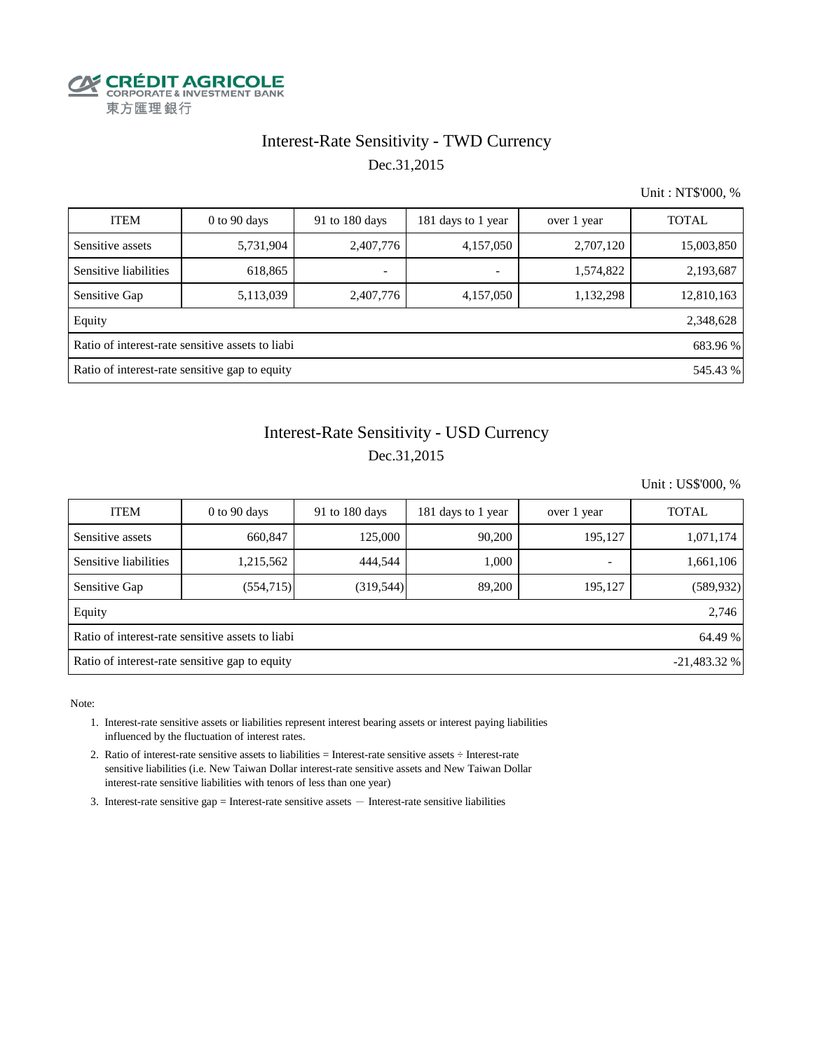

### Interest-Rate Sensitivity - TWD Currency Dec.31,2015

Unit : NT\$'000, %

| <b>ITEM</b>                                                  | $0$ to $90$ days                                           | 91 to 180 days           | 181 days to 1 year       | over 1 year | <b>TOTAL</b> |  |  |  |  |  |
|--------------------------------------------------------------|------------------------------------------------------------|--------------------------|--------------------------|-------------|--------------|--|--|--|--|--|
| Sensitive assets                                             | 5,731,904                                                  | 2,407,776                | 4,157,050                | 2,707,120   | 15,003,850   |  |  |  |  |  |
| Sensitive liabilities                                        | 618,865                                                    | $\overline{\phantom{0}}$ | $\overline{\phantom{a}}$ | 1,574,822   | 2,193,687    |  |  |  |  |  |
| Sensitive Gap                                                | 5,113,039                                                  | 2,407,776                | 4,157,050                | 1,132,298   | 12,810,163   |  |  |  |  |  |
| Equity                                                       |                                                            |                          |                          |             | 2,348,628    |  |  |  |  |  |
| Ratio of interest-rate sensitive assets to liabi<br>683.96 % |                                                            |                          |                          |             |              |  |  |  |  |  |
|                                                              | Ratio of interest-rate sensitive gap to equity<br>545.43 % |                          |                          |             |              |  |  |  |  |  |

# Dec.31,2015 Interest-Rate Sensitivity - USD Currency

Unit : US\$'000, %

| <b>ITEM</b>                                                      | $0$ to 90 days | 91 to $180$ days | 181 days to 1 year | over 1 year | <b>TOTAL</b> |  |  |  |  |
|------------------------------------------------------------------|----------------|------------------|--------------------|-------------|--------------|--|--|--|--|
| Sensitive assets                                                 | 660,847        | 125,000          | 90,200             | 195,127     | 1,071,174    |  |  |  |  |
| Sensitive liabilities                                            | 1,215,562      | 444,544          | 1,000              | ۰           | 1,661,106    |  |  |  |  |
| Sensitive Gap                                                    | (554, 715)     | (319, 544)       | 89,200             | 195,127     | (589, 932)   |  |  |  |  |
| Equity                                                           |                |                  |                    |             | 2,746        |  |  |  |  |
| Ratio of interest-rate sensitive assets to liabi<br>64.49 %      |                |                  |                    |             |              |  |  |  |  |
| Ratio of interest-rate sensitive gap to equity<br>$-21,483.32\%$ |                |                  |                    |             |              |  |  |  |  |

Note:

- 1. Interest-rate sensitive assets or liabilities represent interest bearing assets or interest paying liabilities influenced by the fluctuation of interest rates.
- 2. Ratio of interest-rate sensitive assets to liabilities = Interest-rate sensitive assets ÷ Interest-rate sensitive liabilities (i.e. New Taiwan Dollar interest-rate sensitive assets and New Taiwan Dollar interest-rate sensitive liabilities with tenors of less than one year)
- 3. Interest-rate sensitive gap = Interest-rate sensitive assets  $-$  Interest-rate sensitive liabilities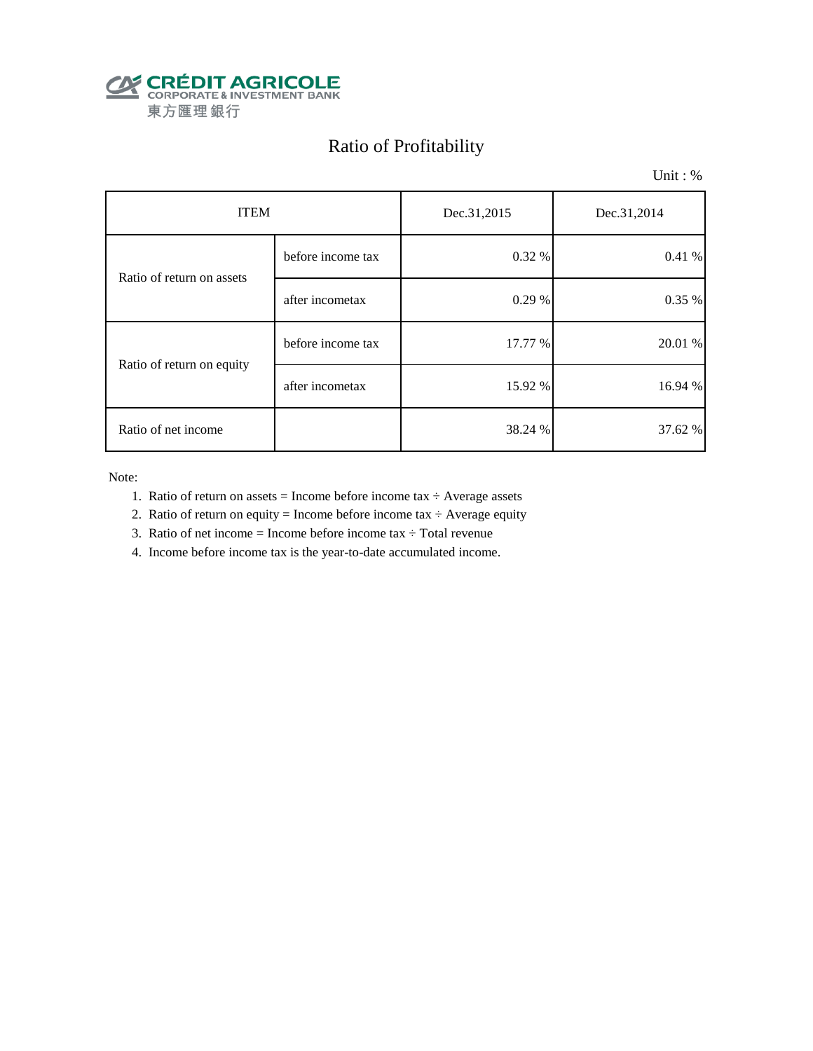

# Ratio of Profitability

Unit : %

| <b>ITEM</b>               |                   | Dec.31,2015 | Dec.31,2014 |  |
|---------------------------|-------------------|-------------|-------------|--|
| Ratio of return on assets | before income tax | 0.32 %      | 0.41%       |  |
|                           | after incometax   | 0.29 %      | 0.35 %      |  |
| Ratio of return on equity | before income tax | 17.77 %     | 20.01 %     |  |
|                           | after incometax   | 15.92 %     | 16.94 %     |  |
| Ratio of net income       |                   | 38.24 %     | 37.62 %     |  |

Note:

- 1. Ratio of return on assets = Income before income tax  $\div$  Average assets
- 2. Ratio of return on equity = Income before income tax  $\div$  Average equity
- 3. Ratio of net income = Income before income tax  $\div$  Total revenue
- 4. Income before income tax is the year-to-date accumulated income.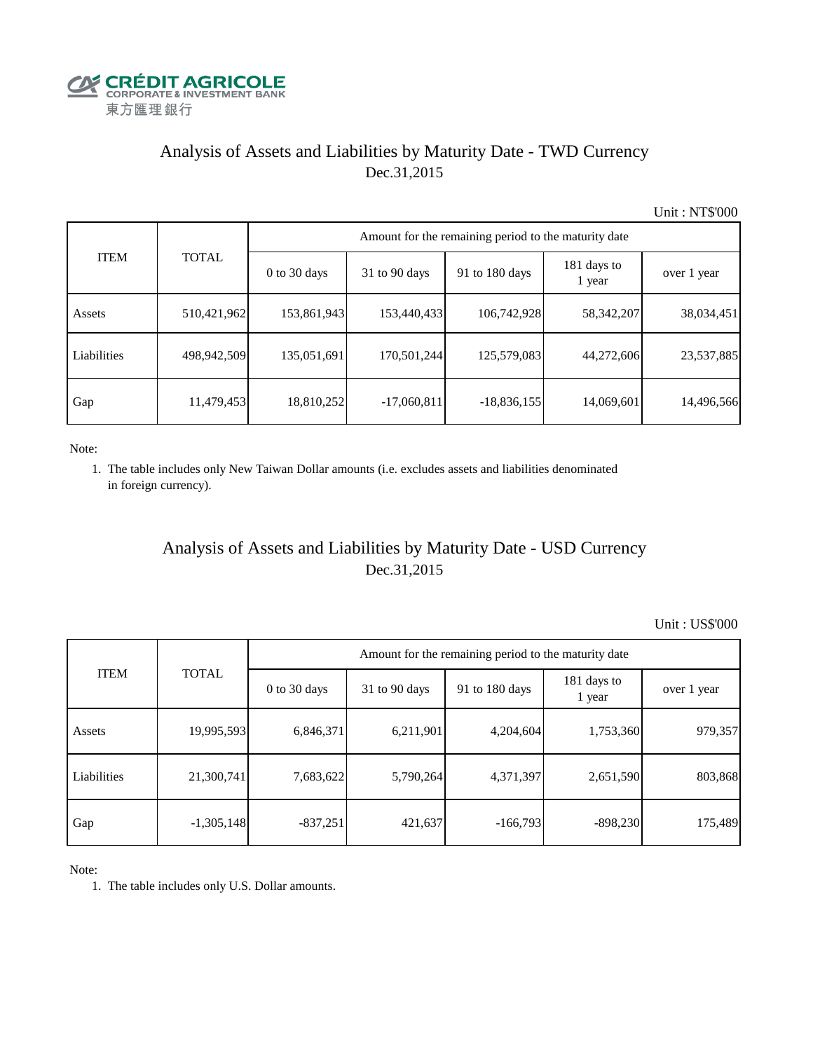

# Analysis of Assets and Liabilities by Maturity Date - TWD Currency Dec.31,2015

Unit : NT\$'000

| <b>ITEM</b> | <b>TOTAL</b> | Amount for the remaining period to the maturity date |                 |                |                       |             |  |  |
|-------------|--------------|------------------------------------------------------|-----------------|----------------|-----------------------|-------------|--|--|
|             |              | 0 to 30 days                                         | $31$ to 90 days | 91 to 180 days | 181 days to<br>1 year | over 1 year |  |  |
| Assets      | 510,421,962  | 153,861,943                                          | 153,440,433     | 106,742,928    | 58,342,207            | 38,034,451  |  |  |
| Liabilities | 498,942,509  | 135,051,691                                          | 170,501,244     | 125,579,083    | 44,272,606            | 23,537,885  |  |  |
| Gap         | 11,479,453   | 18,810,252                                           | $-17,060,811$   | $-18,836,155$  | 14,069,601            | 14,496,566  |  |  |

Note:

 1. The table includes only New Taiwan Dollar amounts (i.e. excludes assets and liabilities denominated in foreign currency).

## Analysis of Assets and Liabilities by Maturity Date - USD Currency Dec.31,2015

Unit : US\$'000

|             | <b>TOTAL</b> | Amount for the remaining period to the maturity date |                 |                |                       |             |  |  |
|-------------|--------------|------------------------------------------------------|-----------------|----------------|-----------------------|-------------|--|--|
| <b>ITEM</b> |              | $0$ to 30 days                                       | $31$ to 90 days | 91 to 180 days | 181 days to<br>1 year | over 1 year |  |  |
| Assets      | 19,995,593   | 6,846,371                                            | 6,211,901       | 4,204,604      | 1,753,360             | 979,357     |  |  |
| Liabilities | 21,300,741   | 7,683,622                                            | 5,790,264       | 4,371,397      | 2,651,590             | 803,868     |  |  |
| Gap         | $-1,305,148$ | $-837,251$                                           | 421,637         | $-166,793$     | $-898,230$            | 175,489     |  |  |

Note:

1. The table includes only U.S. Dollar amounts.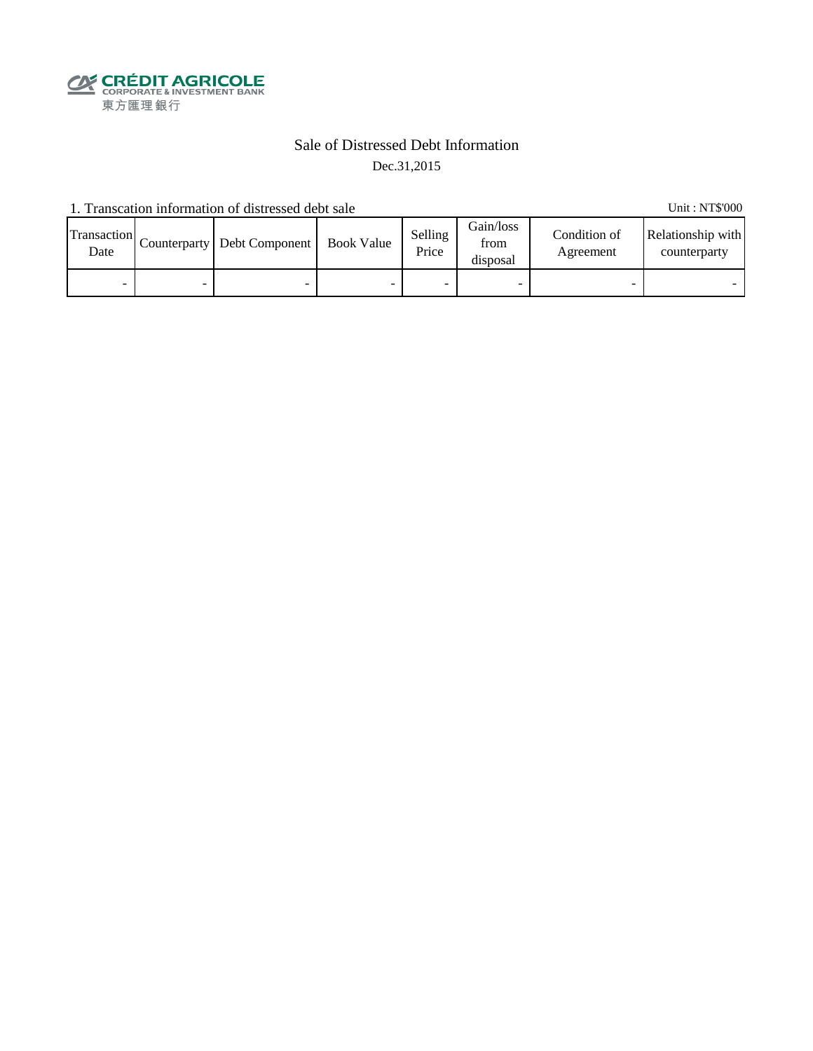

### Sale of Distressed Debt Information Dec.31,2015

1. Transcation information of distressed debt sale Unit: NT\$'000

Transaction  $\frac{\text{D}}{\text{Date}}$  Counterparty Debt Component Book Value Selling Price Gain/loss from disposal Condition of Agreement Relationship with counterparty - - - - - - - -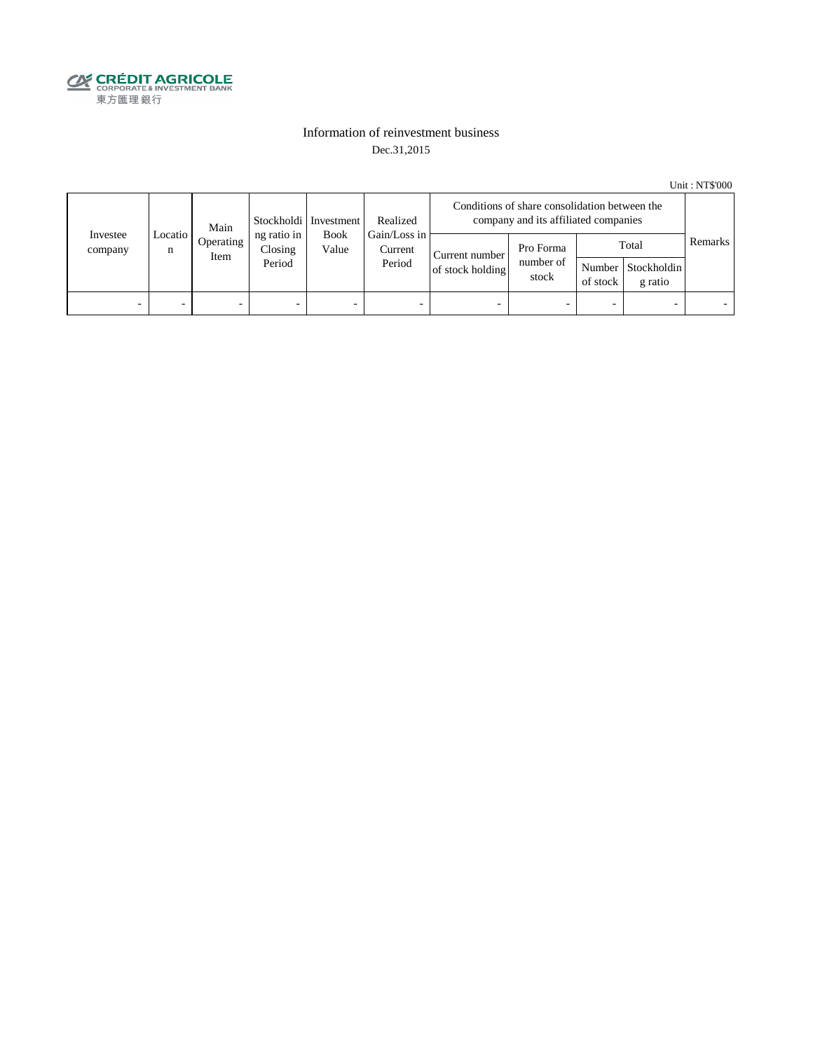

### Information of reinvestment business Dec.31,2015

Unit : NT\$'000

| Investee<br>company | Main<br>Locatio<br>n<br>Item | Stockholdi   Investment | Realized                         | Conditions of share consolidation between the<br>company and its affiliated companies |                          |                                    |                                 |          |                                        |         |
|---------------------|------------------------------|-------------------------|----------------------------------|---------------------------------------------------------------------------------------|--------------------------|------------------------------------|---------------------------------|----------|----------------------------------------|---------|
|                     |                              | Operating               | ng ratio in<br>Closing<br>Period | Gain/Loss in<br><b>Book</b><br>Value<br>Current<br>Period                             |                          | Current number<br>of stock holding | Pro Forma<br>number of<br>stock | of stock | Total<br>Number Stockholdin<br>g ratio | Remarks |
| -                   |                              | -                       |                                  | -                                                                                     | $\overline{\phantom{a}}$ |                                    |                                 | -        |                                        |         |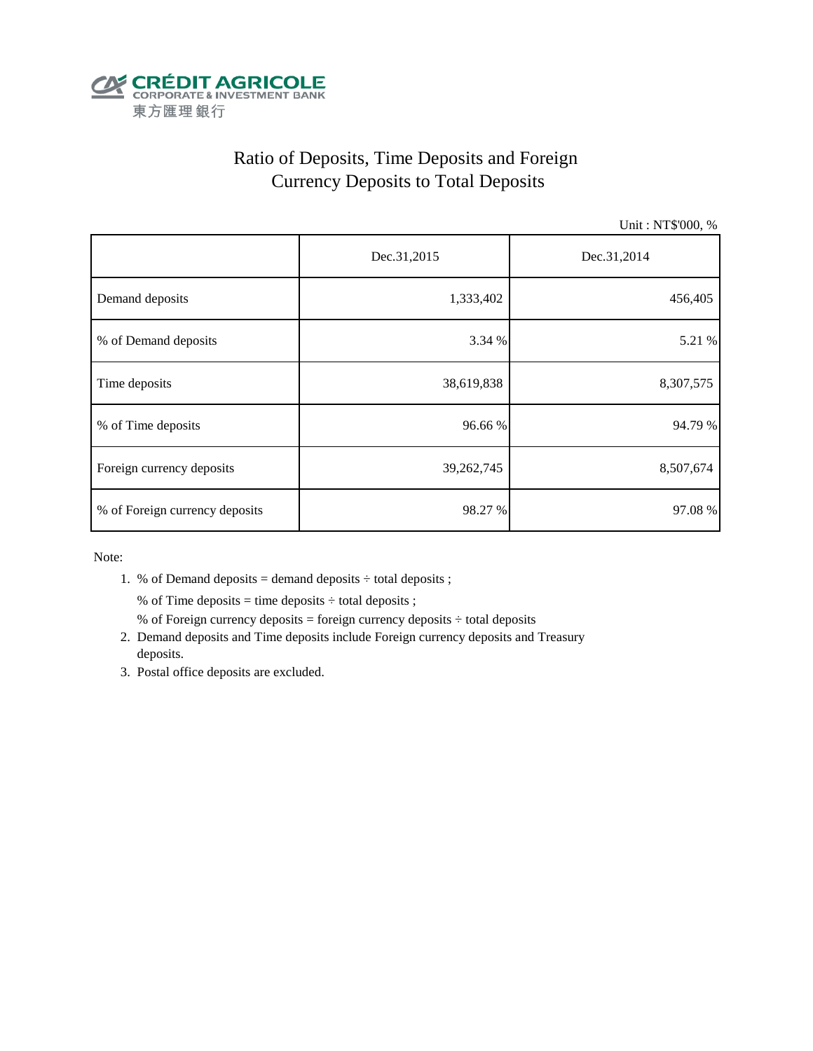

# Ratio of Deposits, Time Deposits and Foreign Currency Deposits to Total Deposits

Unit : NT\$'000, %

|                                | Dec.31,2015 | Dec.31,2014 |  |  |
|--------------------------------|-------------|-------------|--|--|
| Demand deposits                | 1,333,402   | 456,405     |  |  |
| % of Demand deposits           | 3.34 %      | 5.21 %      |  |  |
| Time deposits                  | 38,619,838  | 8,307,575   |  |  |
| % of Time deposits             | 96.66 %     | 94.79 %     |  |  |
| Foreign currency deposits      | 39,262,745  | 8,507,674   |  |  |
| % of Foreign currency deposits | 98.27 %     | 97.08%      |  |  |

Note:

1. % of Demand deposits = demand deposits  $\div$  total deposits ;

% of Time deposits = time deposits  $\div$  total deposits ;

- % of Foreign currency deposits = foreign currency deposits  $\div$  total deposits
- 2. Demand deposits and Time deposits include Foreign currency deposits and Treasury deposits.
- 3. Postal office deposits are excluded.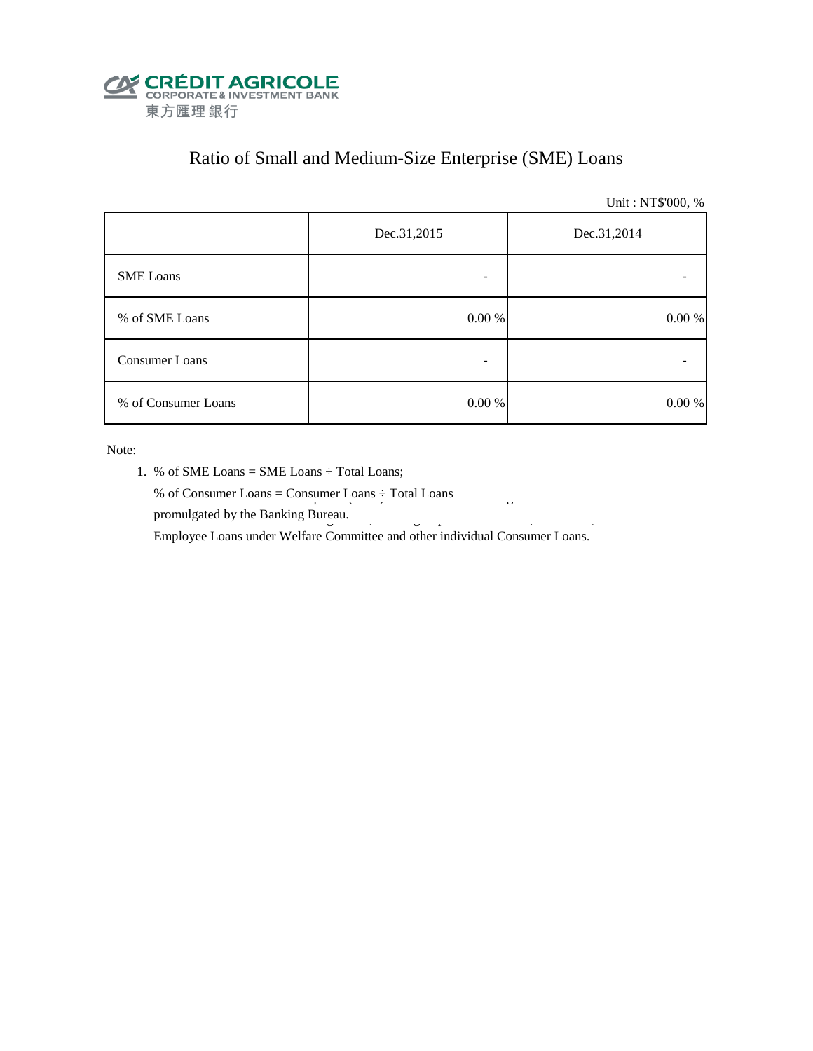

# Ratio of Small and Medium-Size Enterprise (SME) Loans

Unit : NT\$'000, %

|                     | Dec.31,2015 | Dec.31,2014 |  |  |
|---------------------|-------------|-------------|--|--|
| <b>SME</b> Loans    |             |             |  |  |
| % of SME Loans      | $0.00~\%$   | $0.00\ \%$  |  |  |
| Consumer Loans      |             |             |  |  |
| % of Consumer Loans | $0.00\ \%$  | 0.00 %      |  |  |

Note:

- 1. % of SME Loans = SME Loans ÷ Total Loans;
- % of Consumer Loans = Consumer Loans  $\div$  Total Loans promulgated by the Banking Bureau.  $\frac{3}{5}$

Employee Loans under Welfare Committee and other individual Consumer Loans.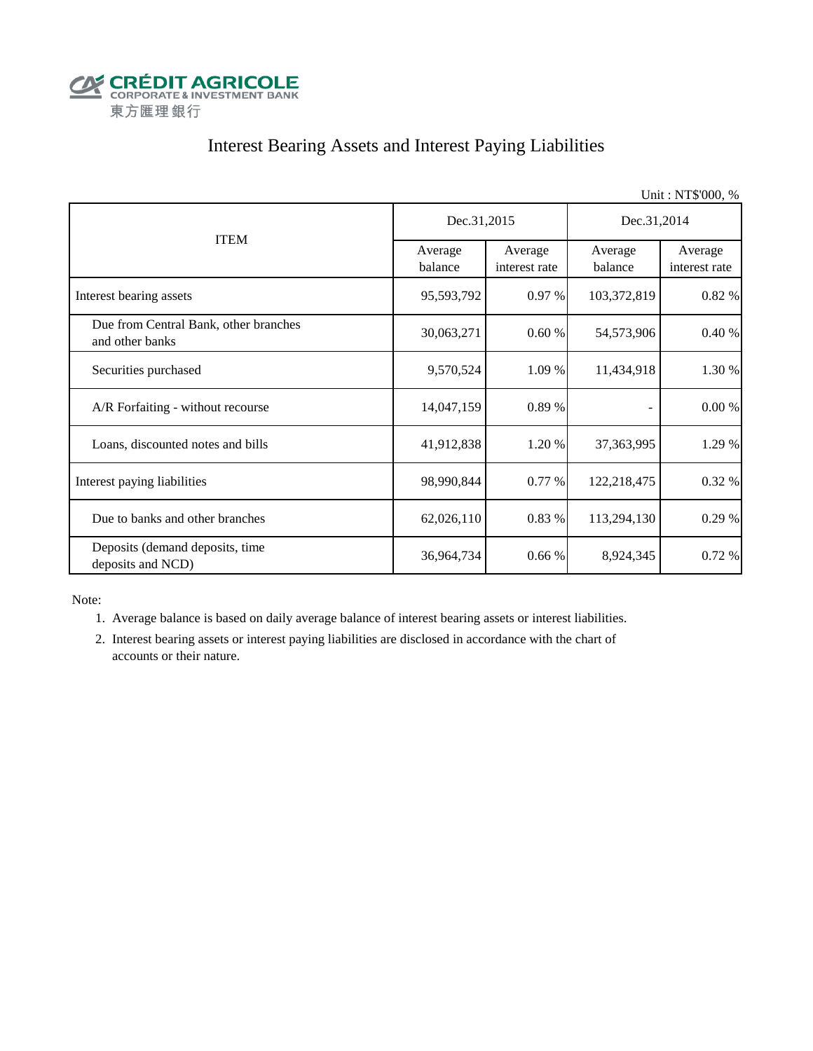

# Interest Bearing Assets and Interest Paying Liabilities

|                                                          |                    |                          |                    | Unit: NT\$'000, %        |  |
|----------------------------------------------------------|--------------------|--------------------------|--------------------|--------------------------|--|
|                                                          | Dec.31,2015        |                          | Dec.31,2014        |                          |  |
| <b>ITEM</b>                                              | Average<br>balance | Average<br>interest rate | Average<br>balance | Average<br>interest rate |  |
| Interest bearing assets                                  | 95,593,792         | 0.97 %                   | 103,372,819        | 0.82 %                   |  |
| Due from Central Bank, other branches<br>and other banks | 30,063,271         | 0.60%                    | 54,573,906         | 0.40%                    |  |
| Securities purchased                                     | 9,570,524          | 1.09 %                   | 11,434,918         | 1.30 %                   |  |
| A/R Forfaiting - without recourse                        | 14,047,159         | 0.89 %                   |                    | 0.00 %                   |  |
| Loans, discounted notes and bills                        | 41,912,838         | 1.20 %                   | 37,363,995         | 1.29 %                   |  |
| Interest paying liabilities                              | 98,990,844         | 0.77%                    | 122,218,475        | 0.32 %                   |  |
| Due to banks and other branches                          | 62,026,110         | 0.83 %                   | 113,294,130        | 0.29 %                   |  |
| Deposits (demand deposits, time<br>deposits and NCD)     | 36,964,734         | 0.66%                    | 8,924,345          | 0.72%                    |  |

Note:

1. Average balance is based on daily average balance of interest bearing assets or interest liabilities.

 2. Interest bearing assets or interest paying liabilities are disclosed in accordance with the chart of accounts or their nature.